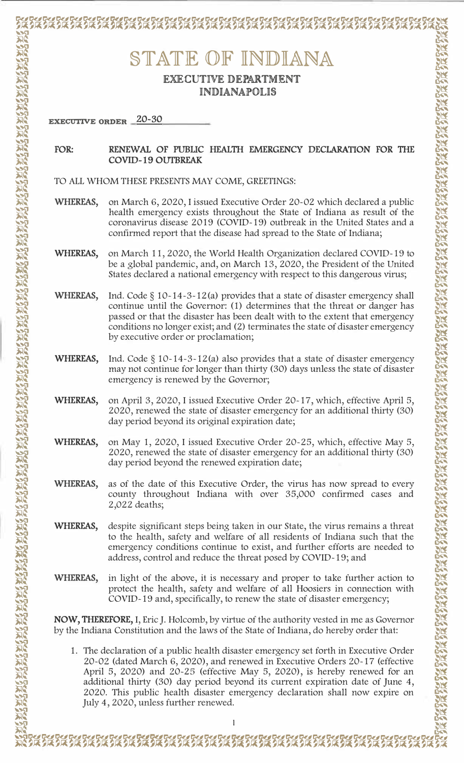## STATE OF INDIANA

## **EXECUTIVE DEPARTMENT INDIANAPOLIS**

**EXECUTIVE ORDER 20-30** 

## RENEWAL OF PUBLIC HEALTH EMERGENCY DECLARATION FOR THE FOR: **COVID-19 OUTBREAK**

TO ALL WHOM THESE PRESENTS MAY COME, GREETINGS:

- WHEREAS, on March 6, 2020, I issued Executive Order 20-02 which declared a public health emergency exists throughout the State of Indiana as result of the coronavirus disease 2019 (COVID-19) outbreak in the United States and a confirmed report that the disease had spread to the State of Indiana;
- WHEREAS, on March 11, 2020, the World Health Organization declared COVID-19 to be a global pandemic, and, on March 13, 2020, the President of the United States declared a national emergency with respect to this dangerous virus;
- WHEREAS, Ind. Code  $\S$  10-14-3-12(a) provides that a state of disaster emergency shall continue until the Governor: (1) determines that the threat or danger has passed or that the disaster has been dealt with to the extent that emergency conditions no longer exist; and (2) terminates the state of disaster emergency by executive order or proclamation;
- WHEREAS, Ind. Code  $\S$  10-14-3-12(a) also provides that a state of disaster emergency may not continue for longer than thirty (30) days unless the state of disaster emergency is renewed by the Governor;
- WHEREAS, on April 3, 2020, I issued Executive Order 20-17, which, effective April 5, 2020, renewed the state of disaster emergency for an additional thirty (30) day period beyond its original expiration date;
- WHEREAS, on May 1, 2020, I issued Executive Order 20-25, which, effective May 5, 2020, renewed the state of disaster emergency for an additional thirty (30) day period beyond the renewed expiration date;
- **WHEREAS,** as of the date of this Executive Order, the virus has now spread to every county throughout Indiana with over 35,000 confirmed cases and 2,022 deaths;
- despite significant steps being taken in our State, the virus remains a threat WHEREAS, to the health, safety and welfare of all residents of Indiana such that the emergency conditions continue to exist, and further efforts are needed to address, control and reduce the threat posed by COVID-19; and
- WHEREAS, in light of the above, it is necessary and proper to take further action to protect the health, safety and welfare of all Hoosiers in connection with COVID-19 and, specifically, to renew the state of disaster emergency;

**NOW, THEREFORE, I, Eric J. Holcomb, by virtue of the authority vested in me as Governor** by the Indiana Constitution and the laws of the State of Indiana, do hereby order that:

1. The declaration of a public health disaster emergency set forth in Executive Order 20-02 (dated March 6, 2020), and renewed in Executive Orders 20-17 (effective April 5, 2020) and 20-25 (effective May 5, 2020), is hereby renewed for an additional thirty (30) day period beyond its current expiration date of June 4, 2020. This public health disaster emergency declaration shall now expire on July 4, 2020, unless further renewed.